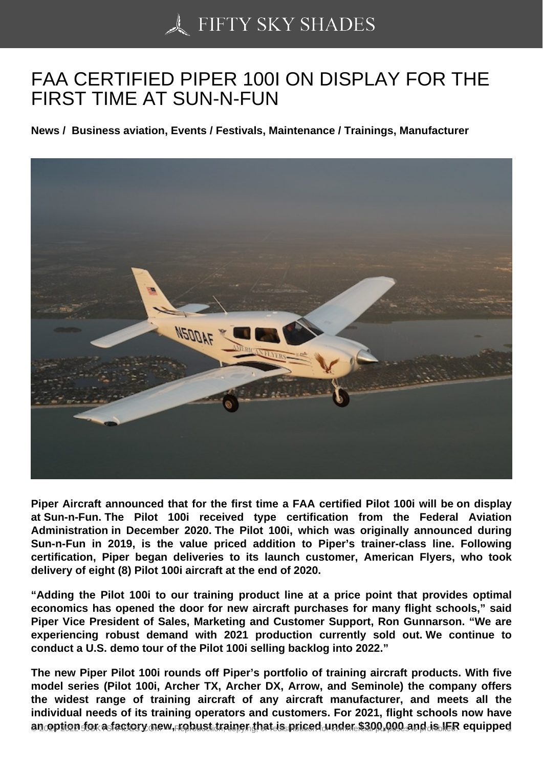## [FAA CERTIFIED PIPE](https://50skyshades.com)R 100I ON DISPLAY FOR THE FIRST TIME AT SUN-N-FUN

News / Business aviation, Events / Festivals, Maintenance / Trainings, Manufacturer

Piper Aircraft announced that for the first time a FAA certified Pilot 100i will be on display at Sun-n-Fun. The Pilot 100i received type certification from the Federal Aviation Administration in December 2020. The Pilot 100i, which was originally announced during Sun-n-Fun in 2019, is the value priced addition to Piper's trainer-class line. Following certification, Piper began deliveries to its launch customer, American Flyers, who took delivery of eight (8) Pilot 100i aircraft at the end of 2020.

"Adding the Pilot 100i to our training product line at a price point that provides optimal economics has opened the door for new aircraft purchases for many flight schools," said Piper Vice President of Sales, Marketing and Customer Support, Ron Gunnarson. "We are experiencing robust demand with 2021 production currently sold out. We continue to conduct a U.S. demo tour of the Pilot 100i selling backlog into 2022."

The new Piper Pilot 100i rounds off Piper's portfolio of training aircraft products. With five model series (Pilot 100i, Archer TX, Archer DX, Arrow, and Seminole) the company offers the widest range of training aircraft of any aircraft manufacturer, and meets all the individual needs of its training operators and customers. For 2021, flight schools now have an option for a factory new, robust trainer that is priced under  $$300,000$  and is if  $R$  requipped  $1$